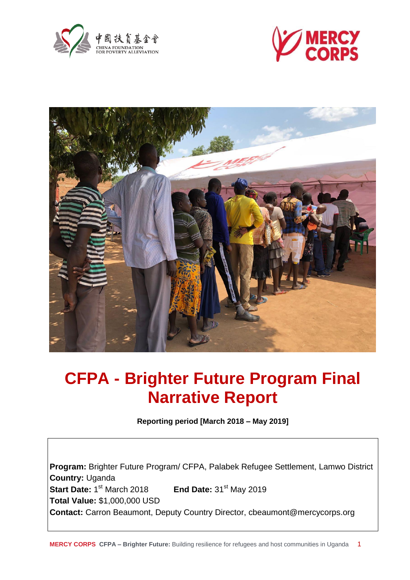





# **CFPA - Brighter Future Program Final Narrative Report**

**Reporting period [March 2018 – May 2019]**

**Program:** Brighter Future Program/ CFPA, Palabek Refugee Settlement, Lamwo District **Country:** Uganda **Start Date: 1st March 2018 End Date:** 31<sup>st</sup> May 2019 **Total Value:** \$1,000,000 USD **Contact:** Carron Beaumont, Deputy Country Director, cbeaumont@mercycorps.org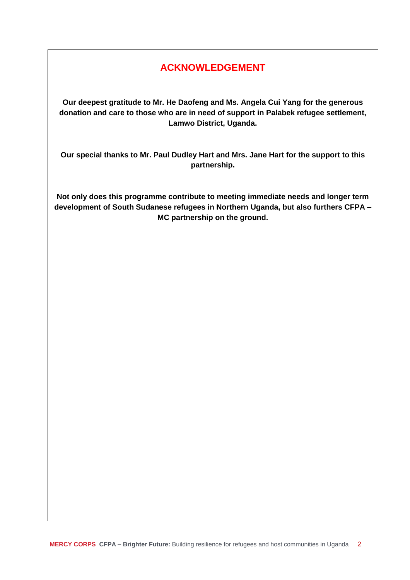# **ACKNOWLEDGEMENT**

**Our deepest gratitude to Mr. He Daofeng and Ms. Angela Cui Yang for the generous donation and care to those who are in need of support in Palabek refugee settlement, Lamwo District, Uganda.**

**Our special thanks to Mr. Paul Dudley Hart and Mrs. Jane Hart for the support to this partnership.**

**Not only does this programme contribute to meeting immediate needs and longer term development of South Sudanese refugees in Northern Uganda, but also furthers CFPA – MC partnership on the ground.**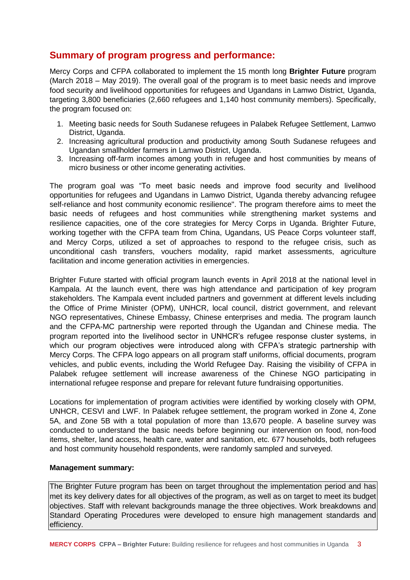# **Summary of program progress and performance:**

Mercy Corps and CFPA collaborated to implement the 15 month long **Brighter Future** program (March 2018 – May 2019). The overall goal of the program is to meet basic needs and improve food security and livelihood opportunities for refugees and Ugandans in Lamwo District, Uganda, targeting 3,800 beneficiaries (2,660 refugees and 1,140 host community members). Specifically, the program focused on:

- 1. Meeting basic needs for South Sudanese refugees in Palabek Refugee Settlement, Lamwo District, Uganda.
- 2. Increasing agricultural production and productivity among South Sudanese refugees and Ugandan smallholder farmers in Lamwo District, Uganda.
- 3. Increasing off-farm incomes among youth in refugee and host communities by means of micro business or other income generating activities.

The program goal was "To meet basic needs and improve food security and livelihood opportunities for refugees and Ugandans in Lamwo District, Uganda thereby advancing refugee self-reliance and host community economic resilience". The program therefore aims to meet the basic needs of refugees and host communities while strengthening market systems and resilience capacities, one of the core strategies for Mercy Corps in Uganda. Brighter Future, working together with the CFPA team from China, Ugandans, US Peace Corps volunteer staff, and Mercy Corps, utilized a set of approaches to respond to the refugee crisis, such as unconditional cash transfers, vouchers modality, rapid market assessments, agriculture facilitation and income generation activities in emergencies.

Brighter Future started with official program launch events in April 2018 at the national level in Kampala. At the launch event, there was high attendance and participation of key program stakeholders. The Kampala event included partners and government at different levels including the Office of Prime Minister (OPM), UNHCR, local council, district government, and relevant NGO representatives, Chinese Embassy, Chinese enterprises and media. The program launch and the CFPA-MC partnership were reported through the Ugandan and Chinese media. The program reported into the livelihood sector in UNHCR's refugee response cluster systems, in which our program objectives were introduced along with CFPA's strategic partnership with Mercy Corps. The CFPA logo appears on all program staff uniforms, official documents, program vehicles, and public events, including the World Refugee Day. Raising the visibility of CFPA in Palabek refugee settlement will increase awareness of the Chinese NGO participating in international refugee response and prepare for relevant future fundraising opportunities.

Locations for implementation of program activities were identified by working closely with OPM, UNHCR, CESVI and LWF. In Palabek refugee settlement, the program worked in Zone 4, Zone 5A, and Zone 5B with a total population of more than 13,670 people. A baseline survey was conducted to understand the basic needs before beginning our intervention on food, non-food items, shelter, land access, health care, water and sanitation, etc. 677 households, both refugees and host community household respondents, were randomly sampled and surveyed.

## **Management summary:**

The Brighter Future program has been on target throughout the implementation period and has met its key delivery dates for all objectives of the program, as well as on target to meet its budget objectives. Staff with relevant backgrounds manage the three objectives. Work breakdowns and Standard Operating Procedures were developed to ensure high management standards and efficiency.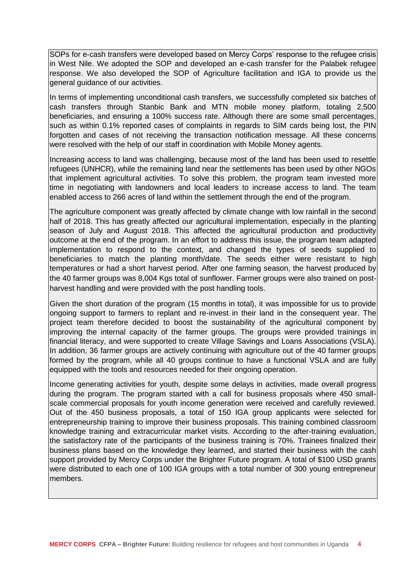SOPs for e-cash transfers were developed based on Mercy Corps' response to the refugee crisis in West Nile. We adopted the SOP and developed an e-cash transfer for the Palabek refugee response. We also developed the SOP of Agriculture facilitation and IGA to provide us the general guidance of our activities.

In terms of implementing unconditional cash transfers, we successfully completed six batches of cash transfers through Stanbic Bank and MTN mobile money platform, totaling 2,500 beneficiaries, and ensuring a 100% success rate. Although there are some small percentages, such as within 0.1% reported cases of complaints in regards to SIM cards being lost, the PIN forgotten and cases of not receiving the transaction notification message. All these concerns were resolved with the help of our staff in coordination with Mobile Money agents.

Increasing access to land was challenging, because most of the land has been used to resettle refugees (UNHCR), while the remaining land near the settlements has been used by other NGOs that implement agricultural activities. To solve this problem, the program team invested more time in negotiating with landowners and local leaders to increase access to land. The team enabled access to 266 acres of land within the settlement through the end of the program.

The agriculture component was greatly affected by climate change with low rainfall in the second half of 2018. This has greatly affected our agricultural implementation, especially in the planting season of July and August 2018. This affected the agricultural production and productivity outcome at the end of the program. In an effort to address this issue, the program team adapted implementation to respond to the context, and changed the types of seeds supplied to beneficiaries to match the planting month/date. The seeds either were resistant to high temperatures or had a short harvest period. After one farming season, the harvest produced by the 40 farmer groups was 8,004 Kgs total of sunflower. Farmer groups were also trained on postharvest handling and were provided with the post handling tools.

Given the short duration of the program (15 months in total), it was impossible for us to provide ongoing support to farmers to replant and re-invest in their land in the consequent year. The project team therefore decided to boost the sustainability of the agricultural component by improving the internal capacity of the farmer groups. The groups were provided trainings in financial literacy, and were supported to create Village Savings and Loans Associations (VSLA). In addition, 36 farmer groups are actively continuing with agriculture out of the 40 farmer groups formed by the program, while all 40 groups continue to have a functional VSLA and are fully equipped with the tools and resources needed for their ongoing operation.

Income generating activities for youth, despite some delays in activities, made overall progress during the program. The program started with a call for business proposals where 450 smallscale commercial proposals for youth income generation were received and carefully reviewed. Out of the 450 business proposals, a total of 150 IGA group applicants were selected for entrepreneurship training to improve their business proposals. This training combined classroom knowledge training and extracurricular market visits. According to the after-training evaluation, the satisfactory rate of the participants of the business training is 70%. Trainees finalized their business plans based on the knowledge they learned, and started their business with the cash support provided by Mercy Corps under the Brighter Future program. A total of \$100 USD grants were distributed to each one of 100 IGA groups with a total number of 300 young entrepreneur members.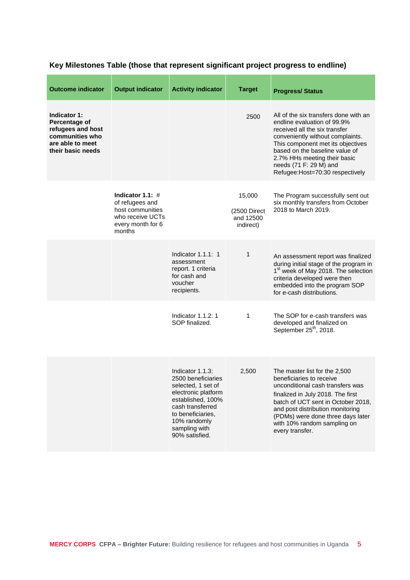| <b>Outcome indicator</b>                                                                                       | <b>Output indicator</b>                                                                                      | <b>Activity indicator</b>                                                                                                                                                                            | <b>Target</b>                                    | <b>Progress/Status</b>                                                                                                                                                                                                                                                                                         |
|----------------------------------------------------------------------------------------------------------------|--------------------------------------------------------------------------------------------------------------|------------------------------------------------------------------------------------------------------------------------------------------------------------------------------------------------------|--------------------------------------------------|----------------------------------------------------------------------------------------------------------------------------------------------------------------------------------------------------------------------------------------------------------------------------------------------------------------|
| Indicator 1:<br>Percentage of<br>refugees and host<br>communities who<br>are able to meet<br>their basic needs |                                                                                                              |                                                                                                                                                                                                      | 2500                                             | All of the six transfers done with an<br>endline evaluation of 99.9%<br>received all the six transfer<br>conveniently without complaints.<br>This component met its objectives<br>based on the baseline value of<br>2.7% HHs meeting their basic<br>needs (71 F: 29 M) and<br>Refugee: Host=70:30 respectively |
|                                                                                                                | Indicator 1.1: $#$<br>of refugees and<br>host communities<br>who receive UCTs<br>every month for 6<br>months |                                                                                                                                                                                                      | 15,000<br>(2500 Direct<br>and 12500<br>indirect) | The Program successfully sent out<br>six monthly transfers from October<br>2018 to March 2019.                                                                                                                                                                                                                 |
|                                                                                                                |                                                                                                              | Indicator $1.1.1: 1$<br>assessment<br>report. 1 criteria<br>for cash and<br>voucher<br>recipients.                                                                                                   | 1                                                | An assessment report was finalized<br>during initial stage of the program in<br>1 <sup>st</sup> week of May 2018. The selection<br>criteria developed were then<br>embedded into the program SOP<br>for e-cash distributions.                                                                                  |
|                                                                                                                |                                                                                                              | Indicator 1.1.2: 1<br>SOP finalized.                                                                                                                                                                 | 1                                                | The SOP for e-cash transfers was<br>developed and finalized on<br>September 25 <sup>th</sup> , 2018.                                                                                                                                                                                                           |
|                                                                                                                |                                                                                                              | Indicator 1.1.3:<br>2500 beneficiaries<br>selected, 1 set of<br>electronic platform<br>established, 100%<br>cash transferred<br>to beneficiaries,<br>10% randomly<br>sampling with<br>90% satisfied. | 2,500                                            | The master list for the 2,500<br>beneficiaries to receive<br>unconditional cash transfers was<br>finalized in July 2018. The first<br>batch of UCT sent in October 2018,<br>and post distribution monitoring<br>(PDMs) were done three days later<br>with 10% random sampling on<br>every transfer.            |

# **Key Milestones Table (those that represent significant project progress to endline)**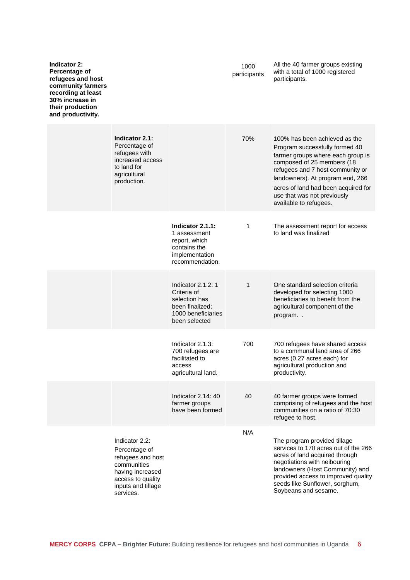| Indicator 2:<br>Percentage of<br>refugees and host<br>community farmers<br>recording at least<br>30% increase in<br>their production<br>and productivity. |                                                                                                                                                 |                                                                                                              | 1000<br>participants | All the 40 farmer groups existing<br>with a total of 1000 registered<br>participants.                                                                                                                                                                                                                      |
|-----------------------------------------------------------------------------------------------------------------------------------------------------------|-------------------------------------------------------------------------------------------------------------------------------------------------|--------------------------------------------------------------------------------------------------------------|----------------------|------------------------------------------------------------------------------------------------------------------------------------------------------------------------------------------------------------------------------------------------------------------------------------------------------------|
|                                                                                                                                                           | Indicator 2.1:<br>Percentage of<br>refugees with<br>increased access<br>to land for<br>agricultural<br>production.                              |                                                                                                              | 70%                  | 100% has been achieved as the<br>Program successfully formed 40<br>farmer groups where each group is<br>composed of 25 members (18<br>refugees and 7 host community or<br>landowners). At program end, 266<br>acres of land had been acquired for<br>use that was not previously<br>available to refugees. |
|                                                                                                                                                           |                                                                                                                                                 | Indicator 2.1.1:<br>1 assessment<br>report, which<br>contains the<br>implementation<br>recommendation.       | 1                    | The assessment report for access<br>to land was finalized                                                                                                                                                                                                                                                  |
|                                                                                                                                                           |                                                                                                                                                 | Indicator 2.1.2: 1<br>Criteria of<br>selection has<br>been finalized;<br>1000 beneficiaries<br>been selected | 1                    | One standard selection criteria<br>developed for selecting 1000<br>beneficiaries to benefit from the<br>agricultural component of the<br>program                                                                                                                                                           |
|                                                                                                                                                           |                                                                                                                                                 | Indicator 2.1.3:<br>700 refugees are<br>facilitated to<br>access<br>agricultural land.                       | 700                  | 700 refugees have shared access<br>to a communal land area of 266<br>acres (0.27 acres each) for<br>agricultural production and<br>productivity.                                                                                                                                                           |
|                                                                                                                                                           |                                                                                                                                                 | Indicator 2.14: 40<br>farmer groups<br>have been formed                                                      | 40                   | 40 farmer groups were formed<br>comprising of refugees and the host<br>communities on a ratio of 70:30<br>refugee to host.                                                                                                                                                                                 |
|                                                                                                                                                           | Indicator 2.2:<br>Percentage of<br>refugees and host<br>communities<br>having increased<br>access to quality<br>inputs and tillage<br>services. |                                                                                                              | N/A                  | The program provided tillage<br>services to 170 acres out of the 266<br>acres of land acquired through<br>negotiations with neibouring<br>landowners (Host Community) and<br>provided access to improved quality<br>seeds like Sunflower, sorghum,<br>Soybeans and sesame.                                 |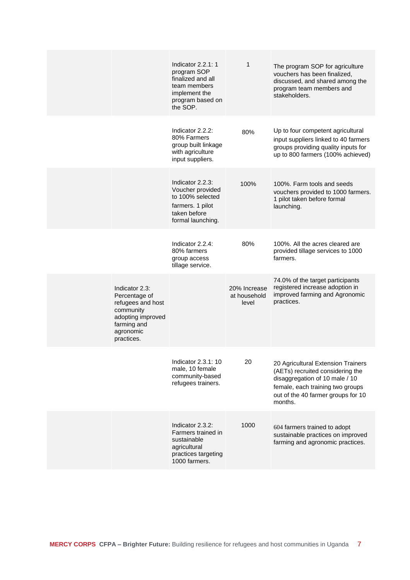|                                                                                                                                  | Indicator $2.2.1:1$<br>program SOP<br>finalized and all<br>team members<br>implement the<br>program based on<br>the SOP. | 1                                     | The program SOP for agriculture<br>vouchers has been finalized,<br>discussed, and shared among the<br>program team members and<br>stakeholders.                                               |
|----------------------------------------------------------------------------------------------------------------------------------|--------------------------------------------------------------------------------------------------------------------------|---------------------------------------|-----------------------------------------------------------------------------------------------------------------------------------------------------------------------------------------------|
|                                                                                                                                  | Indicator 2.2.2:<br>80% Farmers<br>group built linkage<br>with agriculture<br>input suppliers.                           | 80%                                   | Up to four competent agricultural<br>input suppliers linked to 40 farmers<br>groups providing quality inputs for<br>up to 800 farmers (100% achieved)                                         |
|                                                                                                                                  | Indicator 2.2.3:<br>Voucher provided<br>to 100% selected<br>farmers. 1 pilot<br>taken before<br>formal launching.        | 100%                                  | 100%. Farm tools and seeds<br>vouchers provided to 1000 farmers.<br>1 pilot taken before formal<br>launching.                                                                                 |
|                                                                                                                                  | Indicator 2.2.4:<br>80% farmers<br>group access<br>tillage service.                                                      | 80%                                   | 100%. All the acres cleared are<br>provided tillage services to 1000<br>farmers.                                                                                                              |
| Indicator 2.3:<br>Percentage of<br>refugees and host<br>community<br>adopting improved<br>farming and<br>agronomic<br>practices. |                                                                                                                          | 20% Increase<br>at household<br>level | 74.0% of the target participants<br>registered increase adoption in<br>improved farming and Agronomic<br>practices.                                                                           |
|                                                                                                                                  | Indicator 2.3.1: 10<br>male, 10 female<br>community-based<br>refugees trainers.                                          | 20                                    | 20 Agricultural Extension Trainers<br>(AETs) recruited considering the<br>disaggregation of 10 male / 10<br>female, each training two groups<br>out of the 40 farmer groups for 10<br>months. |
|                                                                                                                                  | Indicator 2.3.2:<br>Farmers trained in<br>sustainable<br>agricultural<br>practices targeting<br>1000 farmers.            | 1000                                  | 604 farmers trained to adopt<br>sustainable practices on improved<br>farming and agronomic practices.                                                                                         |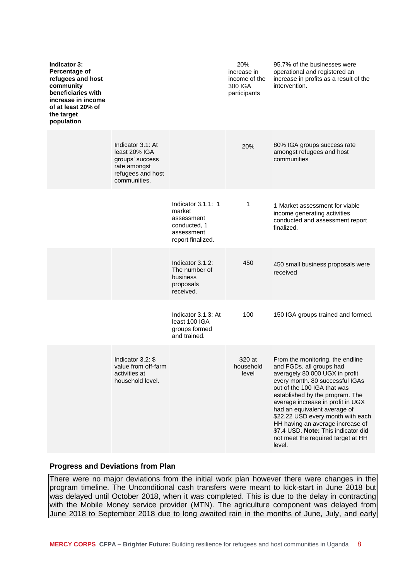| <b>Indicator 3:</b><br>Percentage of<br>refugees and host<br>community<br>beneficiaries with<br>increase in income<br>of at least 20% of<br>the target<br>population |                                                                                                            |                                                                                                | 20%<br>increase in<br>income of the<br>300 IGA<br>participants | 95.7% of the businesses were<br>operational and registered an<br>increase in profits as a result of the<br>intervention.                                                                                                                                                                                                                                                                                                                 |
|----------------------------------------------------------------------------------------------------------------------------------------------------------------------|------------------------------------------------------------------------------------------------------------|------------------------------------------------------------------------------------------------|----------------------------------------------------------------|------------------------------------------------------------------------------------------------------------------------------------------------------------------------------------------------------------------------------------------------------------------------------------------------------------------------------------------------------------------------------------------------------------------------------------------|
|                                                                                                                                                                      | Indicator 3.1: At<br>least 20% IGA<br>groups' success<br>rate amongst<br>refugees and host<br>communities. |                                                                                                | 20%                                                            | 80% IGA groups success rate<br>amongst refugees and host<br>communities                                                                                                                                                                                                                                                                                                                                                                  |
|                                                                                                                                                                      |                                                                                                            | Indicator $3.1.1:1$<br>market<br>assessment<br>conducted, 1<br>assessment<br>report finalized. | 1                                                              | 1 Market assessment for viable<br>income generating activities<br>conducted and assessment report<br>finalized.                                                                                                                                                                                                                                                                                                                          |
|                                                                                                                                                                      |                                                                                                            | Indicator 3.1.2:<br>The number of<br>business<br>proposals<br>received.                        | 450                                                            | 450 small business proposals were<br>received                                                                                                                                                                                                                                                                                                                                                                                            |
|                                                                                                                                                                      |                                                                                                            | Indicator 3.1.3: At<br>least 100 IGA<br>groups formed<br>and trained.                          | 100                                                            | 150 IGA groups trained and formed.                                                                                                                                                                                                                                                                                                                                                                                                       |
|                                                                                                                                                                      | Indicator 3.2: \$<br>value from off-farm<br>activities at<br>household level.                              |                                                                                                | \$20 at<br>household<br>level                                  | From the monitoring, the endline<br>and FGDs, all groups had<br>averagely 80,000 UGX in profit<br>every month. 80 successful IGAs<br>out of the 100 IGA that was<br>established by the program. The<br>average increase in profit in UGX<br>had an equivalent average of<br>\$22.22 USD every month with each<br>HH having an average increase of<br>\$7.4 USD. Note: This indicator did<br>not meet the required target at HH<br>level. |

#### **Progress and Deviations from Plan**

There were no major deviations from the initial work plan however there were changes in the program timeline. The Unconditional cash transfers were meant to kick-start in June 2018 but was delayed until October 2018, when it was completed. This is due to the delay in contracting with the Mobile Money service provider (MTN). The agriculture component was delayed from June 2018 to September 2018 due to long awaited rain in the months of June, July, and early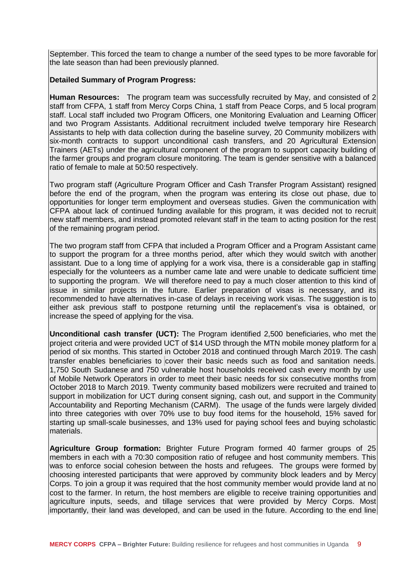September. This forced the team to change a number of the seed types to be more favorable for the late season than had been previously planned.

# **Detailed Summary of Program Progress:**

**Human Resources:** The program team was successfully recruited by May, and consisted of 2 staff from CFPA, 1 staff from Mercy Corps China, 1 staff from Peace Corps, and 5 local program staff. Local staff included two Program Officers, one Monitoring Evaluation and Learning Officer and two Program Assistants. Additional recruitment included twelve temporary hire Research Assistants to help with data collection during the baseline survey, 20 Community mobilizers with six-month contracts to support unconditional cash transfers, and 20 Agricultural Extension Trainers (AETs) under the agricultural component of the program to support capacity building of the farmer groups and program closure monitoring. The team is gender sensitive with a balanced ratio of female to male at 50:50 respectively.

Two program staff (Agriculture Program Officer and Cash Transfer Program Assistant) resigned before the end of the program, when the program was entering its close out phase, due to opportunities for longer term employment and overseas studies. Given the communication with CFPA about lack of continued funding available for this program, it was decided not to recruit new staff members, and instead promoted relevant staff in the team to acting position for the rest of the remaining program period.

The two program staff from CFPA that included a Program Officer and a Program Assistant came to support the program for a three months period, after which they would switch with another assistant. Due to a long time of applying for a work visa, there is a considerable gap in staffing especially for the volunteers as a number came late and were unable to dedicate sufficient time to supporting the program. We will therefore need to pay a much closer attention to this kind of issue in similar projects in the future. Earlier preparation of visas is necessary, and its recommended to have alternatives in-case of delays in receiving work visas. The suggestion is to either ask previous staff to postpone returning until the replacement's visa is obtained, or increase the speed of applying for the visa.

**Unconditional cash transfer (UCT):** The Program identified 2,500 beneficiaries, who met the project criteria and were provided UCT of \$14 USD through the MTN mobile money platform for a period of six months. This started in October 2018 and continued through March 2019. The cash transfer enables beneficiaries to cover their basic needs such as food and sanitation needs. 1,750 South Sudanese and 750 vulnerable host households received cash every month by use of Mobile Network Operators in order to meet their basic needs for six consecutive months from October 2018 to March 2019. Twenty community based mobilizers were recruited and trained to support in mobilization for UCT during consent signing, cash out, and support in the Community Accountability and Reporting Mechanism (CARM). The usage of the funds were largely divided into three categories with over 70% use to buy food items for the household, 15% saved for starting up small-scale businesses, and 13% used for paying school fees and buying scholastic materials.

**Agriculture Group formation:** Brighter Future Program formed 40 farmer groups of 25 members in each with a 70:30 composition ratio of refugee and host community members. This was to enforce social cohesion between the hosts and refugees. The groups were formed by choosing interested participants that were approved by community block leaders and by Mercy Corps. To join a group it was required that the host community member would provide land at no cost to the farmer. In return, the host members are eligible to receive training opportunities and agriculture inputs, seeds, and tillage services that were provided by Mercy Corps. Most importantly, their land was developed, and can be used in the future. According to the end line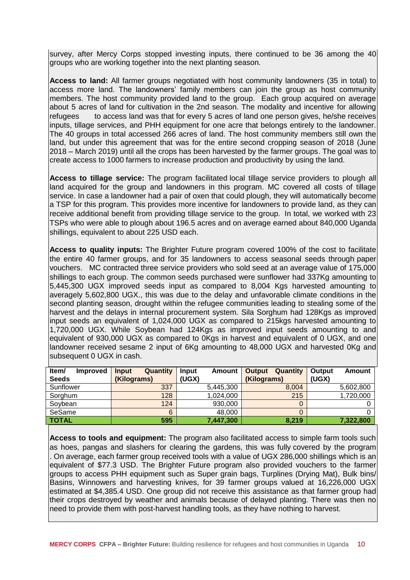survey, after Mercy Corps stopped investing inputs, there continued to be 36 among the 40 groups who are working together into the next planting season.

**Access to land:** All farmer groups negotiated with host community landowners (35 in total) to access more land. The landowners' family members can join the group as host community members. The host community provided land to the group. Each group acquired on average about 5 acres of land for cultivation in the 2nd season. The modality and incentive for allowing refugees to access land was that for every 5 acres of land one person gives, he/she receives inputs, tillage services, and PHH equipment for one acre that belongs entirely to the landowner. The 40 groups in total accessed 266 acres of land. The host community members still own the land, but under this agreement that was for the entire second cropping season of 2018 (June 2018 – March 2019) until all the crops has been harvested by the farmer groups. The goal was to create access to 1000 farmers to increase production and productivity by using the land.

**Access to tillage service:** The program facilitated local tillage service providers to plough all land acquired for the group and landowners in this program. MC covered all costs of tillage service. In case a landowner had a pair of oxen that could plough, they will automatically become a TSP for this program. This provides more incentive for landowners to provide land, as they can receive additional benefit from providing tillage service to the group. In total, we worked with 23 TSPs who were able to plough about 196.5 acres and on average earned about 840,000 Uganda shillings, equivalent to about 225 USD each.

**Access to quality inputs:** The Brighter Future program covered 100% of the cost to facilitate the entire 40 farmer groups, and for 35 landowners to access seasonal seeds through paper vouchers. MC contracted three service providers who sold seed at an average value of 175,000 shillings to each group. The common seeds purchased were sunflower had 337Kg amounting to 5,445,300 UGX improved seeds input as compared to 8,004 Kgs harvested amounting to averagely 5,602,800 UGX., this was due to the delay and unfavorable climate conditions in the second planting season, drought within the refugee communities leading to stealing some of the harvest and the delays in internal procurement system. Sila Sorghum had 128Kgs as improved input seeds an equivalent of 1,024,000 UGX as compared to 215kgs harvested amounting to 1,720,000 UGX. While Soybean had 124Kgs as improved input seeds amounting to and equivalent of 930,000 UGX as compared to 0Kgs in harvest and equivalent of 0 UGX, and one landowner received sesame 2 input of 6Kg amounting to 48,000 UGX and harvested 0Kg and subsequent 0 UGX in cash.

| Item/<br><b>Improved</b> | Quantity<br>Input | Input<br>Amount | Quantity<br>Output | Output<br>Amount |
|--------------------------|-------------------|-----------------|--------------------|------------------|
| <b>Seeds</b>             | (Kilograms)       | (UGX)           | (Kilograms)        | (UGX)            |
| Sunflower                | 337               | 5,445,300       | 8.004              | 5,602,800        |
| Sorghum                  | 128               | 1,024,000       | 215                | 1,720,000        |
| Sovbean                  | 124               | 930.000         |                    |                  |
| SeSame                   | 6                 | 48,000          |                    |                  |
| <b>TOTAL</b>             | 595               | 7,447,300       | 8,219              | 7,322,800        |

**Access to tools and equipment:** The program also facilitated access to simple farm tools such as hoes, pangas and slashers for clearing the gardens, this was fully covered by the program . On average, each farmer group received tools with a value of UGX 286,000 shillings which is an equivalent of \$77.3 USD. The Brighter Future program also provided vouchers to the farmer groups to access PHH equipment such as Super grain bags, Turplines (Drying Mat), Bulk bins/ Basins, Winnowers and harvesting knives, for 39 farmer groups valued at 16,226,000 UGX estimated at \$4,385.4 USD. One group did not receive this assistance as that farmer group had their crops destroyed by weather and animals because of delayed planting. There was then no need to provide them with post-harvest handling tools, as they have nothing to harvest.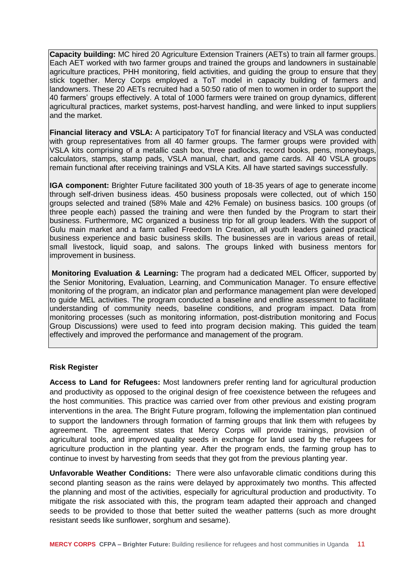**Capacity building:** MC hired 20 Agriculture Extension Trainers (AETs) to train all farmer groups. Each AET worked with two farmer groups and trained the groups and landowners in sustainable agriculture practices, PHH monitoring, field activities, and guiding the group to ensure that they stick together. Mercy Corps employed a ToT model in capacity building of farmers and landowners. These 20 AETs recruited had a 50:50 ratio of men to women in order to support the 40 farmers' groups effectively. A total of 1000 farmers were trained on group dynamics, different agricultural practices, market systems, post-harvest handling, and were linked to input suppliers and the market.

**Financial literacy and VSLA:** A participatory ToT for financial literacy and VSLA was conducted with group representatives from all 40 farmer groups. The farmer groups were provided with VSLA kits comprising of a metallic cash box, three padlocks, record books, pens, moneybags, calculators, stamps, stamp pads, VSLA manual, chart, and game cards. All 40 VSLA groups remain functional after receiving trainings and VSLA Kits. All have started savings successfully.

**IGA component:** Brighter Future facilitated 300 youth of 18-35 years of age to generate income through self-driven business ideas. 450 business proposals were collected, out of which 150 groups selected and trained (58% Male and 42% Female) on business basics. 100 groups (of three people each) passed the training and were then funded by the Program to start their business. Furthermore, MC organized a business trip for all group leaders. With the support of Gulu main market and a farm called Freedom In Creation, all youth leaders gained practical business experience and basic business skills. The businesses are in various areas of retail, small livestock, liquid soap, and salons. The groups linked with business mentors for improvement in business.

**Monitoring Evaluation & Learning:** The program had a dedicated MEL Officer, supported by the Senior Monitoring, Evaluation, Learning, and Communication Manager. To ensure effective monitoring of the program, an indicator plan and performance management plan were developed to guide MEL activities. The program conducted a baseline and endline assessment to facilitate understanding of community needs, baseline conditions, and program impact. Data from monitoring processes (such as monitoring information, post-distribution monitoring and Focus Group Discussions) were used to feed into program decision making. This guided the team effectively and improved the performance and management of the program.

## **Risk Register**

**Access to Land for Refugees:** Most landowners prefer renting land for agricultural production and productivity as opposed to the original design of free coexistence between the refugees and the host communities. This practice was carried over from other previous and existing program interventions in the area. The Bright Future program, following the implementation plan continued to support the landowners through formation of farming groups that link them with refugees by agreement. The agreement states that Mercy Corps will provide trainings, provision of agricultural tools, and improved quality seeds in exchange for land used by the refugees for agriculture production in the planting year. After the program ends, the farming group has to continue to invest by harvesting from seeds that they got from the previous planting year.

**Unfavorable Weather Conditions:** There were also unfavorable climatic conditions during this second planting season as the rains were delayed by approximately two months. This affected the planning and most of the activities, especially for agricultural production and productivity. To mitigate the risk associated with this, the program team adapted their approach and changed seeds to be provided to those that better suited the weather patterns (such as more drought resistant seeds like sunflower, sorghum and sesame).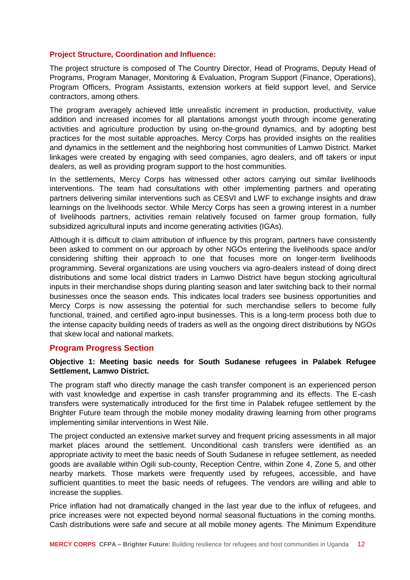## **Project Structure, Coordination and Influence:**

The project structure is composed of The Country Director, Head of Programs, Deputy Head of Programs, Program Manager, Monitoring & Evaluation, Program Support (Finance, Operations), Program Officers, Program Assistants, extension workers at field support level, and Service contractors, among others.

The program averagely achieved little unrealistic increment in production, productivity, value addition and increased incomes for all plantations amongst youth through income generating activities and agriculture production by using on-the-ground dynamics, and by adopting best practices for the most suitable approaches. Mercy Corps has provided insights on the realities and dynamics in the settlement and the neighboring host communities of Lamwo District. Market linkages were created by engaging with seed companies, agro dealers, and off takers or input dealers, as well as providing program support to the host communities.

In the settlements, Mercy Corps has witnessed other actors carrying out similar livelihoods interventions. The team had consultations with other implementing partners and operating partners delivering similar interventions such as CESVI and LWF to exchange insights and draw learnings on the livelihoods sector. While Mercy Corps has seen a growing interest in a number of livelihoods partners, activities remain relatively focused on farmer group formation, fully subsidized agricultural inputs and income generating activities (IGAs).

Although it is difficult to claim attribution of influence by this program, partners have consistently been asked to comment on our approach by other NGOs entering the livelihoods space and/or considering shifting their approach to one that focuses more on longer-term livelihoods programming. Several organizations are using vouchers via agro-dealers instead of doing direct distributions and some local district traders in Lamwo District have begun stocking agricultural inputs in their merchandise shops during planting season and later switching back to their normal businesses once the season ends. This indicates local traders see business opportunities and Mercy Corps is now assessing the potential for such merchandise sellers to become fully functional, trained, and certified agro-input businesses. This is a long-term process both due to the intense capacity building needs of traders as well as the ongoing direct distributions by NGOs that skew local and national markets.

#### **Program Progress Section**

#### **Objective 1: Meeting basic needs for South Sudanese refugees in Palabek Refugee Settlement, Lamwo District.**

The program staff who directly manage the cash transfer component is an experienced person with vast knowledge and expertise in cash transfer programming and its effects. The E-cash transfers were systematically introduced for the first time in Palabek refugee settlement by the Brighter Future team through the mobile money modality drawing learning from other programs implementing similar interventions in West Nile.

The project conducted an extensive market survey and frequent pricing assessments in all major market places around the settlement. Unconditional cash transfers were identified as an appropriate activity to meet the basic needs of South Sudanese in refugee settlement, as needed goods are available within Ogili sub-county, Reception Centre, within Zone 4, Zone 5, and other nearby markets. Those markets were frequently used by refugees, accessible, and have sufficient quantities to meet the basic needs of refugees. The vendors are willing and able to increase the supplies.

Price inflation had not dramatically changed in the last year due to the influx of refugees, and price increases were not expected beyond normal seasonal fluctuations in the coming months. Cash distributions were safe and secure at all mobile money agents. The Minimum Expenditure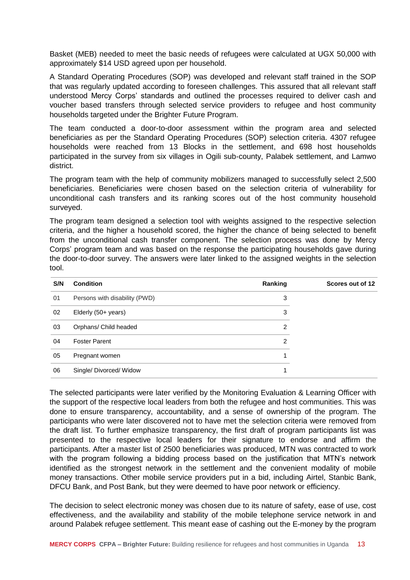Basket (MEB) needed to meet the basic needs of refugees were calculated at UGX 50,000 with approximately \$14 USD agreed upon per household.

A Standard Operating Procedures (SOP) was developed and relevant staff trained in the SOP that was regularly updated according to foreseen challenges. This assured that all relevant staff understood Mercy Corps' standards and outlined the processes required to deliver cash and voucher based transfers through selected service providers to refugee and host community households targeted under the Brighter Future Program.

The team conducted a door-to-door assessment within the program area and selected beneficiaries as per the Standard Operating Procedures (SOP) selection criteria. 4307 refugee households were reached from 13 Blocks in the settlement, and 698 host households participated in the survey from six villages in Ogili sub-county, Palabek settlement, and Lamwo district.

The program team with the help of community mobilizers managed to successfully select 2,500 beneficiaries. Beneficiaries were chosen based on the selection criteria of vulnerability for unconditional cash transfers and its ranking scores out of the host community household surveyed.

The program team designed a selection tool with weights assigned to the respective selection criteria, and the higher a household scored, the higher the chance of being selected to benefit from the unconditional cash transfer component. The selection process was done by Mercy Corps' program team and was based on the response the participating households gave during the door-to-door survey. The answers were later linked to the assigned weights in the selection tool.

| S/N | <b>Condition</b>              | Ranking | Scores out of 12 |
|-----|-------------------------------|---------|------------------|
| 01  | Persons with disability (PWD) | 3       |                  |
| 02  | Elderly (50+ years)           | 3       |                  |
| 03  | Orphans/ Child headed         | 2       |                  |
| 04  | <b>Foster Parent</b>          | 2       |                  |
| 05  | Pregnant women                |         |                  |
| 06  | Single/Divorced/Widow         |         |                  |

The selected participants were later verified by the Monitoring Evaluation & Learning Officer with the support of the respective local leaders from both the refugee and host communities. This was done to ensure transparency, accountability, and a sense of ownership of the program. The participants who were later discovered not to have met the selection criteria were removed from the draft list. To further emphasize transparency, the first draft of program participants list was presented to the respective local leaders for their signature to endorse and affirm the participants. After a master list of 2500 beneficiaries was produced, MTN was contracted to work with the program following a bidding process based on the justification that MTN's network identified as the strongest network in the settlement and the convenient modality of mobile money transactions. Other mobile service providers put in a bid, including Airtel, Stanbic Bank, DFCU Bank, and Post Bank, but they were deemed to have poor network or efficiency.

The decision to select electronic money was chosen due to its nature of safety, ease of use, cost effectiveness, and the availability and stability of the mobile telephone service network in and around Palabek refugee settlement. This meant ease of cashing out the E-money by the program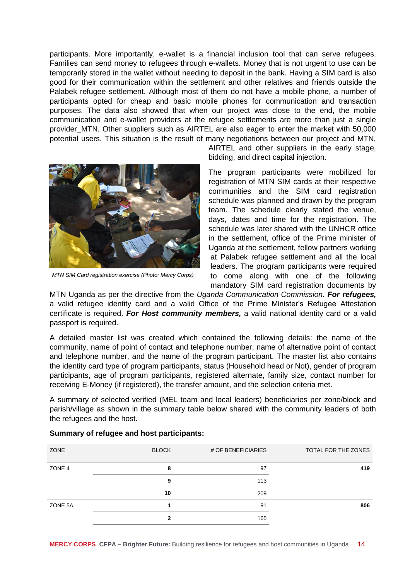participants. More importantly, e-wallet is a financial inclusion tool that can serve refugees. Families can send money to refugees through e-wallets. Money that is not urgent to use can be temporarily stored in the wallet without needing to deposit in the bank. Having a SIM card is also good for their communication within the settlement and other relatives and friends outside the Palabek refugee settlement. Although most of them do not have a mobile phone, a number of participants opted for cheap and basic mobile phones for communication and transaction purposes. The data also showed that when our project was close to the end, the mobile communication and e-wallet providers at the refugee settlements are more than just a single provider\_MTN. Other suppliers such as AIRTEL are also eager to enter the market with 50,000 potential users. This situation is the result of many negotiations between our project and MTN,



*MTN SIM Card registration exercise (Photo: Mercy Corps)*

AIRTEL and other suppliers in the early stage, bidding, and direct capital injection.

The program participants were mobilized for registration of MTN SIM cards at their respective communities and the SIM card registration schedule was planned and drawn by the program team. The schedule clearly stated the venue, days, dates and time for the registration. The schedule was later shared with the UNHCR office in the settlement, office of the Prime minister of Uganda at the settlement, fellow partners working at Palabek refugee settlement and all the local leaders. The program participants were required to come along with one of the following mandatory SIM card registration documents by

MTN Uganda as per the directive from the *Uganda Communication Commission. For refugees,* a valid refugee identity card and a valid Office of the Prime Minister's Refugee Attestation certificate is required. *For Host community members,* a valid national identity card or a valid passport is required.

A detailed master list was created which contained the following details: the name of the community, name of point of contact and telephone number, name of alternative point of contact and telephone number, and the name of the program participant. The master list also contains the identity card type of program participants, status (Household head or Not), gender of program participants, age of program participants, registered alternate, family size, contact number for receiving E-Money (if registered), the transfer amount, and the selection criteria met.

A summary of selected verified (MEL team and local leaders) beneficiaries per zone/block and parish/village as shown in the summary table below shared with the community leaders of both the refugees and the host.

| ZONE    | <b>BLOCK</b> | # OF BENEFICIARIES | TOTAL FOR THE ZONES |
|---------|--------------|--------------------|---------------------|
| ZONE 4  | 8            | 97                 | 419                 |
|         | 9            | 113                |                     |
|         | 10           | 209                |                     |
| ZONE 5A |              | 91                 | 806                 |
|         | 2            | 165                |                     |

#### **Summary of refugee and host participants:**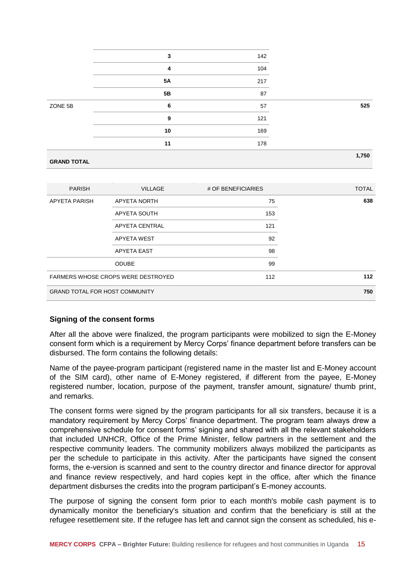|                    | 3         | 142 |       |
|--------------------|-----------|-----|-------|
|                    | 4         | 104 |       |
|                    | <b>5A</b> | 217 |       |
|                    | 5B        | 87  |       |
| ZONE 5B            | 6         | 57  | 525   |
|                    | 9         | 121 |       |
|                    | 10        | 169 |       |
|                    | 11        | 178 |       |
|                    |           |     | 1,750 |
| <b>GRAND TOTAL</b> |           |     |       |

| <b>PARISH</b>                         | <b>VILLAGE</b>                            | # OF BENEFICIARIES | <b>TOTAL</b> |
|---------------------------------------|-------------------------------------------|--------------------|--------------|
| <b>APYETA PARISH</b>                  | <b>APYETA NORTH</b>                       | 75                 | 638          |
|                                       | APYETA SOUTH                              | 153                |              |
|                                       | APYETA CENTRAL                            | 121                |              |
|                                       | APYETA WEST                               | 92                 |              |
|                                       | <b>APYETA EAST</b>                        | 98                 |              |
|                                       | <b>ODUBE</b>                              | 99                 |              |
|                                       | <b>FARMERS WHOSE CROPS WERE DESTROYED</b> | 112                | 112          |
| <b>GRAND TOTAL FOR HOST COMMUNITY</b> |                                           |                    | 750          |

## **Signing of the consent forms**

After all the above were finalized, the program participants were mobilized to sign the E-Money consent form which is a requirement by Mercy Corps' finance department before transfers can be disbursed. The form contains the following details:

Name of the payee-program participant (registered name in the master list and E-Money account of the SIM card), other name of E-Money registered, if different from the payee, E-Money registered number, location, purpose of the payment, transfer amount, signature/ thumb print, and remarks.

The consent forms were signed by the program participants for all six transfers, because it is a mandatory requirement by Mercy Corps' finance department. The program team always drew a comprehensive schedule for consent forms' signing and shared with all the relevant stakeholders that included UNHCR, Office of the Prime Minister, fellow partners in the settlement and the respective community leaders. The community mobilizers always mobilized the participants as per the schedule to participate in this activity. After the participants have signed the consent forms, the e-version is scanned and sent to the country director and finance director for approval and finance review respectively, and hard copies kept in the office, after which the finance department disburses the credits into the program participant's E-money accounts.

The purpose of signing the consent form prior to each month's mobile cash payment is to dynamically monitor the beneficiary's situation and confirm that the beneficiary is still at the refugee resettlement site. If the refugee has left and cannot sign the consent as scheduled, his e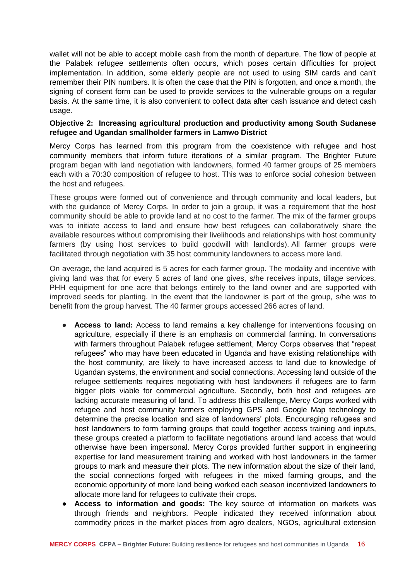wallet will not be able to accept mobile cash from the month of departure. The flow of people at the Palabek refugee settlements often occurs, which poses certain difficulties for project implementation. In addition, some elderly people are not used to using SIM cards and can't remember their PIN numbers. It is often the case that the PIN is forgotten, and once a month, the signing of consent form can be used to provide services to the vulnerable groups on a regular basis. At the same time, it is also convenient to collect data after cash issuance and detect cash usage.

#### **Objective 2: Increasing agricultural production and productivity among South Sudanese refugee and Ugandan smallholder farmers in Lamwo District**

Mercy Corps has learned from this program from the coexistence with refugee and host community members that inform future iterations of a similar program. The Brighter Future program began with land negotiation with landowners, formed 40 farmer groups of 25 members each with a 70:30 composition of refugee to host. This was to enforce social cohesion between the host and refugees.

These groups were formed out of convenience and through community and local leaders, but with the guidance of Mercy Corps. In order to join a group, it was a requirement that the host community should be able to provide land at no cost to the farmer. The mix of the farmer groups was to initiate access to land and ensure how best refugees can collaboratively share the available resources without compromising their livelihoods and relationships with host community farmers (by using host services to build goodwill with landlords). All farmer groups were facilitated through negotiation with 35 host community landowners to access more land.

On average, the land acquired is 5 acres for each farmer group. The modality and incentive with giving land was that for every 5 acres of land one gives, s/he receives inputs, tillage services, PHH equipment for one acre that belongs entirely to the land owner and are supported with improved seeds for planting. In the event that the landowner is part of the group, s/he was to benefit from the group harvest. The 40 farmer groups accessed 266 acres of land.

- **Access to land:** Access to land remains a key challenge for interventions focusing on agriculture, especially if there is an emphasis on commercial farming. In conversations with farmers throughout Palabek refugee settlement, Mercy Corps observes that "repeat refugees" who may have been educated in Uganda and have existing relationships with the host community, are likely to have increased access to land due to knowledge of Ugandan systems, the environment and social connections. Accessing land outside of the refugee settlements requires negotiating with host landowners if refugees are to farm bigger plots viable for commercial agriculture. Secondly, both host and refugees are lacking accurate measuring of land. To address this challenge, Mercy Corps worked with refugee and host community farmers employing GPS and Google Map technology to determine the precise location and size of landowners' plots. Encouraging refugees and host landowners to form farming groups that could together access training and inputs, these groups created a platform to facilitate negotiations around land access that would otherwise have been impersonal. Mercy Corps provided further support in engineering expertise for land measurement training and worked with host landowners in the farmer groups to mark and measure their plots. The new information about the size of their land, the social connections forged with refugees in the mixed farming groups, and the economic opportunity of more land being worked each season incentivized landowners to allocate more land for refugees to cultivate their crops.
- Access to information and goods: The key source of information on markets was through friends and neighbors. People indicated they received information about commodity prices in the market places from agro dealers, NGOs, agricultural extension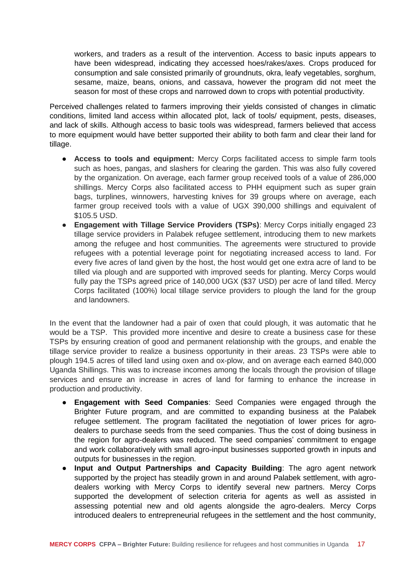workers, and traders as a result of the intervention. Access to basic inputs appears to have been widespread, indicating they accessed hoes/rakes/axes. Crops produced for consumption and sale consisted primarily of groundnuts, okra, leafy vegetables, sorghum, sesame, maize, beans, onions, and cassava, however the program did not meet the season for most of these crops and narrowed down to crops with potential productivity.

Perceived challenges related to farmers improving their yields consisted of changes in climatic conditions, limited land access within allocated plot, lack of tools/ equipment, pests, diseases, and lack of skills. Although access to basic tools was widespread, farmers believed that access to more equipment would have better supported their ability to both farm and clear their land for tillage.

- **Access to tools and equipment:** Mercy Corps facilitated access to simple farm tools such as hoes, pangas, and slashers for clearing the garden. This was also fully covered by the organization. On average, each farmer group received tools of a value of 286,000 shillings. Mercy Corps also facilitated access to PHH equipment such as super grain bags, turplines, winnowers, harvesting knives for 39 groups where on average, each farmer group received tools with a value of UGX 390,000 shillings and equivalent of \$105.5 USD.
- **Engagement with Tillage Service Providers (TSPs)**: Mercy Corps initially engaged 23 tillage service providers in Palabek refugee settlement, introducing them to new markets among the refugee and host communities. The agreements were structured to provide refugees with a potential leverage point for negotiating increased access to land. For every five acres of land given by the host, the host would get one extra acre of land to be tilled via plough and are supported with improved seeds for planting. Mercy Corps would fully pay the TSPs agreed price of 140,000 UGX (\$37 USD) per acre of land tilled. Mercy Corps facilitated (100%) local tillage service providers to plough the land for the group and landowners.

In the event that the landowner had a pair of oxen that could plough, it was automatic that he would be a TSP. This provided more incentive and desire to create a business case for these TSPs by ensuring creation of good and permanent relationship with the groups, and enable the tillage service provider to realize a business opportunity in their areas. 23 TSPs were able to plough 194.5 acres of tilled land using oxen and ox-plow, and on average each earned 840,000 Uganda Shillings. This was to increase incomes among the locals through the provision of tillage services and ensure an increase in acres of land for farming to enhance the increase in production and productivity.

- **Engagement with Seed Companies:** Seed Companies were engaged through the Brighter Future program, and are committed to expanding business at the Palabek refugee settlement. The program facilitated the negotiation of lower prices for agrodealers to purchase seeds from the seed companies. Thus the cost of doing business in the region for agro-dealers was reduced. The seed companies' commitment to engage and work collaboratively with small agro-input businesses supported growth in inputs and outputs for businesses in the region.
- **Input and Output Partnerships and Capacity Building**: The agro agent network supported by the project has steadily grown in and around Palabek settlement, with agrodealers working with Mercy Corps to identify several new partners. Mercy Corps supported the development of selection criteria for agents as well as assisted in assessing potential new and old agents alongside the agro-dealers. Mercy Corps introduced dealers to entrepreneurial refugees in the settlement and the host community,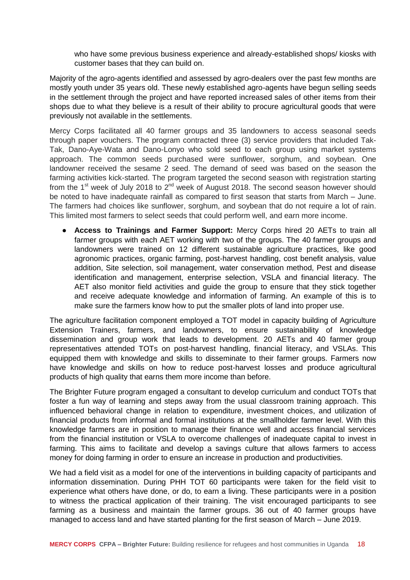who have some previous business experience and already-established shops/ kiosks with customer bases that they can build on.

Majority of the agro-agents identified and assessed by agro-dealers over the past few months are mostly youth under 35 years old. These newly established agro-agents have begun selling seeds in the settlement through the project and have reported increased sales of other items from their shops due to what they believe is a result of their ability to procure agricultural goods that were previously not available in the settlements.

Mercy Corps facilitated all 40 farmer groups and 35 landowners to access seasonal seeds through paper vouchers. The program contracted three (3) service providers that included Tak-Tak, Dano-Aye-Wata and Dano-Lonyo who sold seed to each group using market systems approach. The common seeds purchased were sunflower, sorghum, and soybean. One landowner received the sesame 2 seed. The demand of seed was based on the season the farming activities kick-started. The program targeted the second season with registration starting from the 1<sup>st</sup> week of July 2018 to 2<sup>nd</sup> week of August 2018. The second season however should be noted to have inadequate rainfall as compared to first season that starts from March – June. The farmers had choices like sunflower, sorghum, and soybean that do not require a lot of rain. This limited most farmers to select seeds that could perform well, and earn more income.

● **Access to Trainings and Farmer Support:** Mercy Corps hired 20 AETs to train all farmer groups with each AET working with two of the groups. The 40 farmer groups and landowners were trained on 12 different sustainable agriculture practices, like good agronomic practices, organic farming, post-harvest handling, cost benefit analysis, value addition, Site selection, soil management, water conservation method, Pest and disease identification and management, enterprise selection, VSLA and financial literacy. The AET also monitor field activities and guide the group to ensure that they stick together and receive adequate knowledge and information of farming. An example of this is to make sure the farmers know how to put the smaller plots of land into proper use.

The agriculture facilitation component employed a TOT model in capacity building of Agriculture Extension Trainers, farmers, and landowners, to ensure sustainability of knowledge dissemination and group work that leads to development. 20 AETs and 40 farmer group representatives attended TOTs on post-harvest handling, financial literacy, and VSLAs. This equipped them with knowledge and skills to disseminate to their farmer groups. Farmers now have knowledge and skills on how to reduce post-harvest losses and produce agricultural products of high quality that earns them more income than before.

The Brighter Future program engaged a consultant to develop curriculum and conduct TOTs that foster a fun way of learning and steps away from the usual classroom training approach. This influenced behavioral change in relation to expenditure, investment choices, and utilization of financial products from informal and formal institutions at the smallholder farmer level. With this knowledge farmers are in position to manage their finance well and access financial services from the financial institution or VSLA to overcome challenges of inadequate capital to invest in farming. This aims to facilitate and develop a savings culture that allows farmers to access money for doing farming in order to ensure an increase in production and productivities.

We had a field visit as a model for one of the interventions in building capacity of participants and information dissemination. During PHH TOT 60 participants were taken for the field visit to experience what others have done, or do, to earn a living. These participants were in a position to witness the practical application of their training. The visit encouraged participants to see farming as a business and maintain the farmer groups. 36 out of 40 farmer groups have managed to access land and have started planting for the first season of March – June 2019.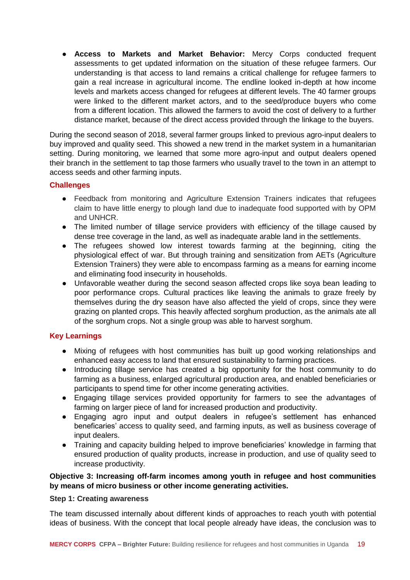● **Access to Markets and Market Behavior:** Mercy Corps conducted frequent assessments to get updated information on the situation of these refugee farmers. Our understanding is that access to land remains a critical challenge for refugee farmers to gain a real increase in agricultural income. The endline looked in-depth at how income levels and markets access changed for refugees at different levels. The 40 farmer groups were linked to the different market actors, and to the seed/produce buyers who come from a different location. This allowed the farmers to avoid the cost of delivery to a further distance market, because of the direct access provided through the linkage to the buyers.

During the second season of 2018, several farmer groups linked to previous agro-input dealers to buy improved and quality seed. This showed a new trend in the market system in a humanitarian setting. During monitoring, we learned that some more agro-input and output dealers opened their branch in the settlement to tap those farmers who usually travel to the town in an attempt to access seeds and other farming inputs.

# **Challenges**

- Feedback from monitoring and Agriculture Extension Trainers indicates that refugees claim to have little energy to plough land due to inadequate food supported with by OPM and UNHCR.
- The limited number of tillage service providers with efficiency of the tillage caused by dense tree coverage in the land, as well as inadequate arable land in the settlements.
- The refugees showed low interest towards farming at the beginning, citing the physiological effect of war. But through training and sensitization from AETs (Agriculture Extension Trainers) they were able to encompass farming as a means for earning income and eliminating food insecurity in households.
- Unfavorable weather during the second season affected crops like soya bean leading to poor performance crops. Cultural practices like leaving the animals to graze freely by themselves during the dry season have also affected the yield of crops, since they were grazing on planted crops. This heavily affected sorghum production, as the animals ate all of the sorghum crops. Not a single group was able to harvest sorghum.

# **Key Learnings**

- Mixing of refugees with host communities has built up good working relationships and enhanced easy access to land that ensured sustainability to farming practices.
- Introducing tillage service has created a big opportunity for the host community to do farming as a business, enlarged agricultural production area, and enabled beneficiaries or participants to spend time for other income generating activities.
- Engaging tillage services provided opportunity for farmers to see the advantages of farming on larger piece of land for increased production and productivity.
- Engaging agro input and output dealers in refugee's settlement has enhanced beneficaries' access to quality seed, and farming inputs, as well as business coverage of input dealers.
- Training and capacity building helped to improve beneficiaries' knowledge in farming that ensured production of quality products, increase in production, and use of quality seed to increase productivity.

# **Objective 3: Increasing off-farm incomes among youth in refugee and host communities by means of micro business or other income generating activities.**

## **Step 1: Creating awareness**

The team discussed internally about different kinds of approaches to reach youth with potential ideas of business. With the concept that local people already have ideas, the conclusion was to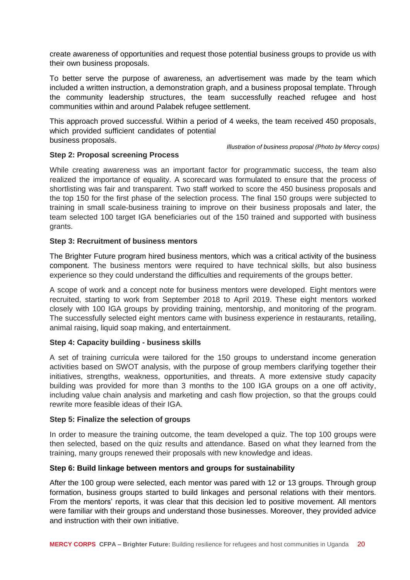create awareness of opportunities and request those potential business groups to provide us with their own business proposals.

To better serve the purpose of awareness, an advertisement was made by the team which included a written instruction, a demonstration graph, and a business proposal template. Through the community leadership structures, the team successfully reached refugee and host communities within and around Palabek refugee settlement.

This approach proved successful. Within a period of 4 weeks, the team received 450 proposals, which provided sufficient candidates of potential business proposals.

*Illustration of business proposal (Photo by Mercy corps)*

# **Step 2: Proposal screening Process**

While creating awareness was an important factor for programmatic success, the team also realized the importance of equality. A scorecard was formulated to ensure that the process of shortlisting was fair and transparent. Two staff worked to score the 450 business proposals and the top 150 for the first phase of the selection process. The final 150 groups were subjected to training in small scale-business training to improve on their business proposals and later, the team selected 100 target IGA beneficiaries out of the 150 trained and supported with business grants.

#### **Step 3: Recruitment of business mentors**

The Brighter Future program hired business mentors, which was a critical activity of the business component. The business mentors were required to have technical skills, but also business experience so they could understand the difficulties and requirements of the groups better.

A scope of work and a concept note for business mentors were developed. Eight mentors were recruited, starting to work from September 2018 to April 2019. These eight mentors worked closely with 100 IGA groups by providing training, mentorship, and monitoring of the program. The successfully selected eight mentors came with business experience in restaurants, retailing, animal raising, liquid soap making, and entertainment.

## **Step 4: Capacity building - business skills**

A set of training curricula were tailored for the 150 groups to understand income generation activities based on SWOT analysis, with the purpose of group members clarifying together their initiatives, strengths, weakness, opportunities, and threats. A more extensive study capacity building was provided for more than 3 months to the 100 IGA groups on a one off activity, including value chain analysis and marketing and cash flow projection, so that the groups could rewrite more feasible ideas of their IGA.

#### **Step 5: Finalize the selection of groups**

In order to measure the training outcome, the team developed a quiz. The top 100 groups were then selected, based on the quiz results and attendance. Based on what they learned from the training, many groups renewed their proposals with new knowledge and ideas.

#### **Step 6: Build linkage between mentors and groups for sustainability**

After the 100 group were selected, each mentor was pared with 12 or 13 groups. Through group formation, business groups started to build linkages and personal relations with their mentors. From the mentors' reports, it was clear that this decision led to positive movement. All mentors were familiar with their groups and understand those businesses. Moreover, they provided advice and instruction with their own initiative.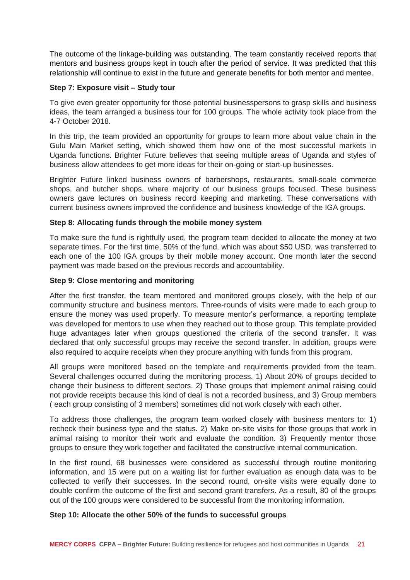The outcome of the linkage-building was outstanding. The team constantly received reports that mentors and business groups kept in touch after the period of service. It was predicted that this relationship will continue to exist in the future and generate benefits for both mentor and mentee.

#### **Step 7: Exposure visit – Study tour**

To give even greater opportunity for those potential businesspersons to grasp skills and business ideas, the team arranged a business tour for 100 groups. The whole activity took place from the 4-7 October 2018.

In this trip, the team provided an opportunity for groups to learn more about value chain in the Gulu Main Market setting, which showed them how one of the most successful markets in Uganda functions. Brighter Future believes that seeing multiple areas of Uganda and styles of business allow attendees to get more ideas for their on-going or start-up businesses.

Brighter Future linked business owners of barbershops, restaurants, small-scale commerce shops, and butcher shops, where majority of our business groups focused. These business owners gave lectures on business record keeping and marketing. These conversations with current business owners improved the confidence and business knowledge of the IGA groups.

#### **Step 8: Allocating funds through the mobile money system**

To make sure the fund is rightfully used, the program team decided to allocate the money at two separate times. For the first time, 50% of the fund, which was about \$50 USD, was transferred to each one of the 100 IGA groups by their mobile money account. One month later the second payment was made based on the previous records and accountability.

#### **Step 9: Close mentoring and monitoring**

After the first transfer, the team mentored and monitored groups closely, with the help of our community structure and business mentors. Three-rounds of visits were made to each group to ensure the money was used properly. To measure mentor's performance, a reporting template was developed for mentors to use when they reached out to those group. This template provided huge advantages later when groups questioned the criteria of the second transfer. It was declared that only successful groups may receive the second transfer. In addition, groups were also required to acquire receipts when they procure anything with funds from this program.

All groups were monitored based on the template and requirements provided from the team. Several challenges occurred during the monitoring process. 1) About 20% of groups decided to change their business to different sectors. 2) Those groups that implement animal raising could not provide receipts because this kind of deal is not a recorded business, and 3) Group members ( each group consisting of 3 members) sometimes did not work closely with each other.

To address those challenges, the program team worked closely with business mentors to: 1) recheck their business type and the status. 2) Make on-site visits for those groups that work in animal raising to monitor their work and evaluate the condition. 3) Frequently mentor those groups to ensure they work together and facilitated the constructive internal communication.

In the first round, 68 businesses were considered as successful through routine monitoring information, and 15 were put on a waiting list for further evaluation as enough data was to be collected to verify their successes. In the second round, on-site visits were equally done to double confirm the outcome of the first and second grant transfers. As a result, 80 of the groups out of the 100 groups were considered to be successful from the monitoring information.

## **Step 10: Allocate the other 50% of the funds to successful groups**